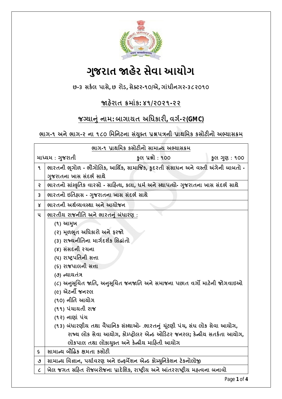

# **ગુજરાત ӽહેર સેવા આયોગ**

**છ-૩ સક½લ પાસે, છ રોડ, સેƈટર-૧૦/એ, ગાંધીનગર-૩૮૨૦૧૦**

## **Ĥહ°રાત ˲માંક: ૪૧/૨૦૨૧-૨૨**

## **જƊયાȵું નામ: બાગાયત અિધકાર, વગ½-૨(GMC)**

**ભાગ-૧ અને ભાગ-૨ ના ૧૮૦ િમિનટના સંȻુƈત ̆ĕપ́ની ̆ાથિમક કસોટનો અƟયાસ˲મ**

| ભાગ-૧ પ્રાથમિક કસોટીનો સામાન્ય અભ્યાસક્રમ |                                                                                      |              |  |
|-------------------------------------------|--------------------------------------------------------------------------------------|--------------|--|
|                                           | કૂલ પ્રશ્નો : ૧૦૦<br>માધ્યમ : ગુજરાતી                                                | કુલ ગુણ: ૧૦૦ |  |
| ۹                                         | ભારતની ભૂગોળ - ભૌગોલિક, આર્થિક, સામાજિક, કુદરતી સંસાધન અને વસ્તી અંગેની બાબતો -      |              |  |
|                                           | ગુજરાતના ખાસ સંદર્ભ સાથે                                                             |              |  |
| Ş                                         | ભારતનો સાંસ્કૃતિક વારસો - સાહિત્ય, કલા, ધર્મ અને સ્થાપત્યો- ગુજરાતના ખાસ સંદર્ભ સાથે |              |  |
| 3                                         | ભારતનો ઇતિહ્રાસ - ગુજરાતના ખાસ સંદર્ભ સાથે                                           |              |  |
| $\mathsf{x}$                              | ભારતની અર્થવ્યવસ્થા અને આયોજન                                                        |              |  |
| ૫                                         | <u>ભારતીય રાજનીતિ અને ભારતનું બંધારણ :</u>                                           |              |  |
|                                           | (૧) આમુખ                                                                             |              |  |
|                                           | (૨) મૂળભૂત અધિકારો અને ફરજો                                                          |              |  |
|                                           | (3) રાજ્યનીતિના માર્ગદર્શક સિદ્ધાંતો                                                 |              |  |
|                                           | (४) સંસદની રચના                                                                      |              |  |
|                                           | (૫) રાષ્ટ્રપતિની સત્તા                                                               |              |  |
|                                           | (૬) રાજપાલની સત્તા                                                                   |              |  |
|                                           | (૭) ન્યાયતંત્ર                                                                       |              |  |
|                                           | (૮) અનુસૂચિત જાતિ, અનુસૂચિત જનજાતિ અને સમાજના પછાત વર્ગો માટેની જોગવાઇઓ              |              |  |
|                                           | (૯) એટર્ની જનરલ                                                                      |              |  |
|                                           | (૧૦) નીતિ આયોગ                                                                       |              |  |
|                                           | (૧૧) પંચાયતી રાજ                                                                     |              |  |
|                                           | (૧૨) નાણાં પંચ                                                                       |              |  |
|                                           | (૧૩) બંધારણીય તથા વૈધાનિક સંસ્થાઓ- .ભારતનું ચૂંટણી પંચ, સંઘ લોક સેવા આયોગ,           |              |  |
|                                           | રાજ્ય લોક સેવા આયોગ, કોમ્પ્ટ્રોલર એન્ડ ઓડિટર જનરલ; કેન્ન્રીય સતર્કતા આયોગ,           |              |  |
|                                           | લોકપાલ તથા લોકાયુક્ત અને કેન્દ્રીય માહિતી આયોગ                                       |              |  |
| ç.                                        | સામાન્ય બૌદ્ધિક ક્ષમતા કસોટી                                                         |              |  |
| ტ                                         | સામાન્ય વિજ્ઞાન, પર્યાવરણ અને ઇન્ફર્મેશન એન્ડ કોમ્યુનિકેશન ટેકનોલોજી                 |              |  |
| $\mathcal{C}_{0}$                         | ખેલ જગત સહિત રોજબરોજના પ્રાદેશિક, રાષ્ટ્રીય અને આંતરરાષ્ટ્રીય મહ્ત્વના બનાવો         |              |  |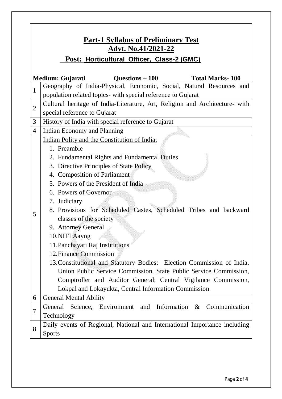| <b>Part-1 Syllabus of Preliminary Test</b><br><b>Advt. No.41/2021-22</b> |                                                                             |  |  |
|--------------------------------------------------------------------------|-----------------------------------------------------------------------------|--|--|
|                                                                          |                                                                             |  |  |
| Post: Horticultural Officer, Class-2 (GMC)                               |                                                                             |  |  |
| Medium: Gujarati<br>Questions $-100$<br><b>Total Marks-100</b>           |                                                                             |  |  |
| $\mathbf{1}$                                                             | Geography of India-Physical, Economic, Social, Natural Resources and        |  |  |
|                                                                          | population related topics- with special reference to Gujarat                |  |  |
| $\overline{2}$                                                           | Cultural heritage of India-Literature, Art, Religion and Architecture- with |  |  |
|                                                                          | special reference to Gujarat                                                |  |  |
| 3                                                                        | History of India with special reference to Gujarat                          |  |  |
| $\overline{4}$                                                           | <b>Indian Economy and Planning</b>                                          |  |  |
| 5                                                                        | Indian Polity and the Constitution of India:                                |  |  |
|                                                                          | 1. Preamble                                                                 |  |  |
|                                                                          | 2. Fundamental Rights and Fundamental Duties                                |  |  |
|                                                                          | 3. Directive Principles of State Policy                                     |  |  |
|                                                                          | 4. Composition of Parliament                                                |  |  |
|                                                                          | 5. Powers of the President of India                                         |  |  |
|                                                                          | 6. Powers of Governor                                                       |  |  |
|                                                                          | 7. Judiciary                                                                |  |  |
|                                                                          | 8. Provisions for Scheduled Castes, Scheduled Tribes and backward           |  |  |
|                                                                          | classes of the society                                                      |  |  |
|                                                                          | 9. Attorney General                                                         |  |  |
|                                                                          | 10.NITI Aayog                                                               |  |  |
|                                                                          | 11. Panchayati Raj Institutions                                             |  |  |
|                                                                          | 12. Finance Commission                                                      |  |  |
|                                                                          | 13. Constitutional and Statutory Bodies: Election Commission of India,      |  |  |
|                                                                          | Union Public Service Commission, State Public Service Commission,           |  |  |
|                                                                          | Comptroller and Auditor General; Central Vigilance Commission,              |  |  |
|                                                                          | Lokpal and Lokayukta, Central Information Commission                        |  |  |
| 6                                                                        | <b>General Mental Ability</b>                                               |  |  |
| $\overline{7}$                                                           | General Science, Environment and Information &<br>Communication             |  |  |
|                                                                          | Technology                                                                  |  |  |
| 8                                                                        | Daily events of Regional, National and International Importance including   |  |  |
|                                                                          | <b>Sports</b>                                                               |  |  |

Г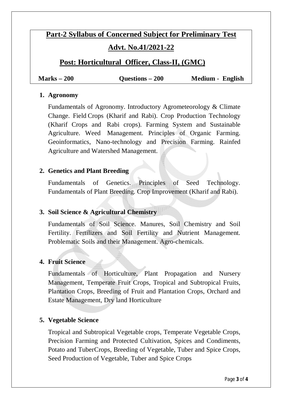# **Part-2 Syllabus of Concerned Subject for Preliminary Test**

### **Advt. No.41/2021-22**

### **Post: Horticultural Officer, Class-II, (GMC)**

**Marks – 200 Questions – 200 Medium - English**

#### **1. Agronomy**

Fundamentals of Agronomy. Introductory Agrometeorology & Climate Change. Field Crops (Kharif and Rabi). Crop Production Technology (Kharif Crops and Rabi crops). Farming System and Sustainable Agriculture. Weed Management. Principles of Organic Farming. Geoinformatics, Nano-technology and Precision Farming. Rainfed Agriculture and Watershed Management.

#### **2. Genetics and Plant Breeding**

Fundamentals of Genetics. Principles of Seed Technology. Fundamentals of Plant Breeding. Crop Improvement (Kharif and Rabi).

#### **3. Soil Science & Agricultural Chemistry**

Fundamentals of Soil Science. Manures, Soil Chemistry and Soil Fertility. Fertilizers and Soil Fertility and Nutrient Management. Problematic Soils and their Management. Agro-chemicals.

#### **4. Fruit Science**

Fundamentals of Horticulture, Plant Propagation and Nursery Management, Temperate Fruit Crops, Tropical and Subtropical Fruits, Plantation Crops, Breeding of Fruit and Plantation Crops, Orchard and Estate Management, Dry land Horticulture

#### **5. Vegetable Science**

Tropical and Subtropical Vegetable crops, Temperate Vegetable Crops, Precision Farming and Protected Cultivation, Spices and Condiments, Potato and TuberCrops, Breeding of Vegetable, Tuber and Spice Crops, Seed Production of Vegetable, Tuber and Spice Crops